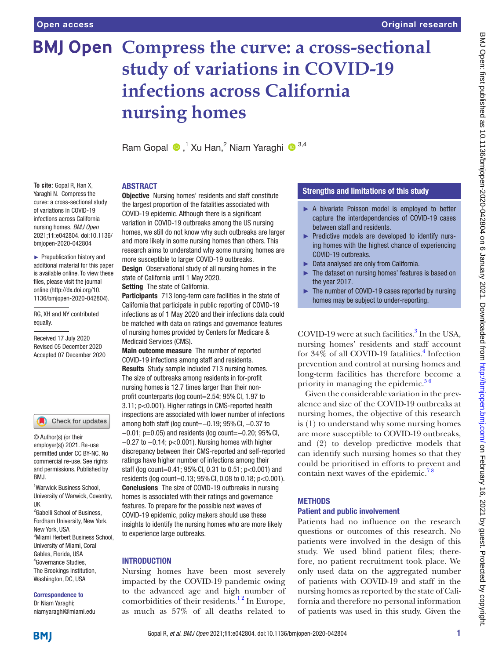# **BMJ Open Compress the curve: a cross-sectional study of variations in COVID-19 infections across California nursing homes**

RamGopal  $\bigcirc$ ,<sup>1</sup> Xu Han,<sup>2</sup> Niam Yaraghi  $\bigcirc$ <sup>3,4</sup>

# ABSTRACT

**To cite:** Gopal R, Han X, Yaraghi N. Compress the curve: a cross-sectional study of variations in COVID-19 infections across California nursing homes. *BMJ Open* 2021;11:e042804. doi:10.1136/ bmjopen-2020-042804

► Prepublication history and additional material for this paper is available online. To view these files, please visit the journal online (http://dx.doi.org/10. 1136/bmjopen-2020-042804).

RG, XH and NY contributed equally.

Received 17 July 2020 Revised 05 December 2020 Accepted 07 December 2020

### Check for updates

© Author(s) (or their employer(s)) 2021. Re-use permitted under CC BY-NC. No commercial re-use. See rights and permissions. Published by BMJ.

1 Warwick Business School, University of Warwick, Coventry, UK

<sup>2</sup> Gabelli School of Business, Fordham University, New York, New York, USA 3 Miami Herbert Business School, University of Miami, Coral Gables, Florida, USA 4 Governance Studies, The Brookings Institution, Washington, DC, USA

### Correspondence to

Dr Niam Yaraghi; niamyaraghi@miami.edu **Objective** Nursing homes' residents and staff constitute the largest proportion of the fatalities associated with COVID-19 epidemic. Although there is a significant variation in COVID-19 outbreaks among the US nursing homes, we still do not know why such outbreaks are larger and more likely in some nursing homes than others. This research aims to understand why some nursing homes are more susceptible to larger COVID-19 outbreaks. Design Observational study of all nursing homes in the state of California until 1 May 2020.

Setting The state of California.

Participants 713 long-term care facilities in the state of California that participate in public reporting of COVID-19 infections as of 1 May 2020 and their infections data could be matched with data on ratings and governance features of nursing homes provided by Centers for Medicare & Medicaid Services (CMS).

Main outcome measure The number of reported COVID-19 infections among staff and residents. Results Study sample included 713 nursing homes. The size of outbreaks among residents in for-profit nursing homes is 12.7 times larger than their nonprofit counterparts (log count=2.54; 95% Cl, 1.97 to 3.11; p<0.001). Higher ratings in CMS-reported health inspections are associated with lower number of infections among both staff (log count=−0.19; 95%CI, −0.37 to −0.01; p=0.05) and residents (log count=−0.20; 95%CI, −0.27 to −0.14; p<0.001). Nursing homes with higher discrepancy between their CMS-reported and self-reported ratings have higher number of infections among their staff (log count=0.41; 95% CI, 0.31 to 0.51;  $p < 0.001$ ) and residents (log count=0.13; 95%CI, 0.08 to 0.18; p<0.001). Conclusions The size of COVID-19 outbreaks in nursing homes is associated with their ratings and governance features. To prepare for the possible next waves of COVID-19 epidemic, policy makers should use these insights to identify the nursing homes who are more likely to experience large outbreaks.

# **INTRODUCTION**

Nursing homes have been most severely impacted by the COVID-19 pandemic owing to the advanced age and high number of comorbidities of their residents.<sup>12</sup> In Europe, as much as 57% of all deaths related to

# Strengths and limitations of this study

- ► A bivariate Poisson model is employed to better capture the interdependencies of COVID-19 cases between staff and residents.
- ► Predictive models are developed to identify nursing homes with the highest chance of experiencing COVID-19 outbreaks.
- ► Data analysed are only from California.
- ► The dataset on nursing homes' features is based on the year 2017.
- The number of COVID-19 cases reported by nursing homes may be subject to under-reporting.

COVID-19 were at such facilities.<sup>[3](#page-7-1)</sup> In the USA, nursing homes' residents and staff account for  $34\%$  of all COVID-19 fatalities.<sup>4</sup> Infection prevention and control at nursing homes and long-term facilities has therefore become a priority in managing the epidemic. $56$ 

Given the considerable variation in the prevalence and size of the COVID-19 outbreaks at nursing homes, the objective of this research is (1) to understand why some nursing homes are more susceptible to COVID-19 outbreaks, and (2) to develop predictive models that can identify such nursing homes so that they could be prioritised in efforts to prevent and contain next waves of the epidemic.<sup>78</sup>

# **METHODS**

# Patient and public involvement

Patients had no influence on the research questions or outcomes of this research. No patients were involved in the design of this study. We used blind patient files; therefore, no patient recruitment took place. We only used data on the aggregated number of patients with COVID-19 and staff in the nursing homes as reported by the state of California and therefore no personal information of patients was used in this study. Given the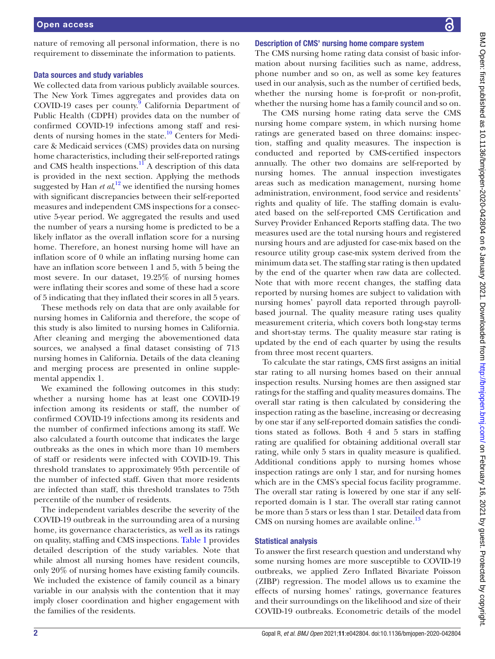nature of removing all personal information, there is no requirement to disseminate the information to patients.

#### Data sources and study variables

We collected data from various publicly available sources. The New York Times aggregates and provides data on COVID-19 cases per county.<sup>9</sup> California Department of Public Health (CDPH) provides data on the number of confirmed COVID-19 infections among staff and residents of nursing homes in the state.<sup>10</sup> Centers for Medicare & Medicaid services (CMS) provides data on nursing home characteristics, including their self-reported ratings and CMS health inspections.<sup>11</sup> A description of this data is provided in the next section. Applying the methods suggested by Han  $et al$ ,<sup>[12](#page-8-6)</sup> we identified the nursing homes with significant discrepancies between their self-reported measures and independent CMS inspections for a consecutive 5-year period. We aggregated the results and used the number of years a nursing home is predicted to be a likely inflator as the overall inflation score for a nursing home. Therefore, an honest nursing home will have an inflation score of 0 while an inflating nursing home can have an inflation score between 1 and 5, with 5 being the most severe. In our dataset, 19.25% of nursing homes were inflating their scores and some of these had a score of 5 indicating that they inflated their scores in all 5 years.

These methods rely on data that are only available for nursing homes in California and therefore, the scope of this study is also limited to nursing homes in California. After cleaning and merging the abovementioned data sources, we analysed a final dataset consisting of 713 nursing homes in California. Details of the data cleaning and merging process are presented in [online supple](https://dx.doi.org/10.1136/bmjopen-2020-042804)[mental appendix 1](https://dx.doi.org/10.1136/bmjopen-2020-042804).

We examined the following outcomes in this study: whether a nursing home has at least one COVID-19 infection among its residents or staff, the number of confirmed COVID-19 infections among its residents and the number of confirmed infections among its staff. We also calculated a fourth outcome that indicates the large outbreaks as the ones in which more than 10 members of staff or residents were infected with COVID-19. This threshold translates to approximately 95th percentile of the number of infected staff. Given that more residents are infected than staff, this threshold translates to 75th percentile of the number of residents.

The independent variables describe the severity of the COVID-19 outbreak in the surrounding area of a nursing home, its governance characteristics, as well as its ratings on quality, staffing and CMS inspections. [Table](#page-2-0) 1 provides detailed description of the study variables. Note that while almost all nursing homes have resident councils, only 20% of nursing homes have existing family councils. We included the existence of family council as a binary variable in our analysis with the contention that it may imply closer coordination and higher engagement with the families of the residents.

## Description of CMS' nursing home compare system

The CMS nursing home rating data consist of basic information about nursing facilities such as name, address, phone number and so on, as well as some key features used in our analysis, such as the number of certified beds, whether the nursing home is for-profit or non-profit, whether the nursing home has a family council and so on.

The CMS nursing home rating data serve the CMS nursing home compare system, in which nursing home ratings are generated based on three domains: inspection, staffing and quality measures. The inspection is conducted and reported by CMS-certified inspectors annually. The other two domains are self-reported by nursing homes. The annual inspection investigates areas such as medication management, nursing home administration, environment, food service and residents' rights and quality of life. The staffing domain is evaluated based on the self-reported CMS Certification and Survey Provider Enhanced Reports staffing data. The two measures used are the total nursing hours and registered nursing hours and are adjusted for case-mix based on the resource utility group case-mix system derived from the minimum data set. The staffing star rating is then updated by the end of the quarter when raw data are collected. Note that with more recent changes, the staffing data reported by nursing homes are subject to validation with nursing homes' payroll data reported through payrollbased journal. The quality measure rating uses quality measurement criteria, which covers both long-stay terms and short-stay terms. The quality measure star rating is updated by the end of each quarter by using the results from three most recent quarters.

To calculate the star ratings, CMS first assigns an initial star rating to all nursing homes based on their annual inspection results. Nursing homes are then assigned star ratings for the staffing and quality measures domains. The overall star rating is then calculated by considering the inspection rating as the baseline, increasing or decreasing by one star if any self-reported domain satisfies the conditions stated as follows. Both 4 and 5 stars in staffing rating are qualified for obtaining additional overall star rating, while only 5 stars in quality measure is qualified. Additional conditions apply to nursing homes whose inspection ratings are only 1 star, and for nursing homes which are in the CMS's special focus facility programme. The overall star rating is lowered by one star if any selfreported domain is 1 star. The overall star rating cannot be more than 5 stars or less than 1 star. Detailed data from CMS on nursing homes are available online.<sup>13</sup>

### Statistical analysis

To answer the first research question and understand why some nursing homes are more susceptible to COVID-19 outbreaks, we applied Zero Inflated Bivariate Poisson (ZIBP) regression. The model allows us to examine the effects of nursing homes' ratings, governance features and their surroundings on the likelihood and size of their COVID-19 outbreaks. Econometric details of the model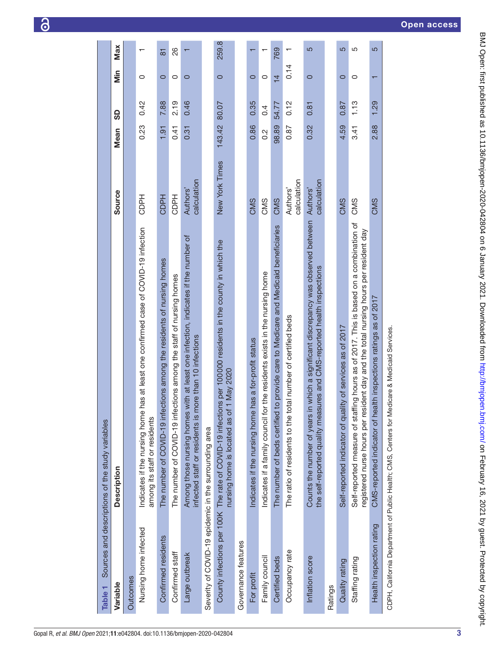<span id="page-2-0"></span>

| Variable                                              | <b>Description</b>                                                                                                                                                            | Source                  | <b>Mean</b>      | ဓ္တ              | iin           | Max                      |
|-------------------------------------------------------|-------------------------------------------------------------------------------------------------------------------------------------------------------------------------------|-------------------------|------------------|------------------|---------------|--------------------------|
| Outcomes                                              |                                                                                                                                                                               |                         |                  |                  |               |                          |
| Nursing home infected                                 | has at least one confirmed case of COVID-19 infection<br>Indicates if the nursing home<br>among its staff or residents                                                        | <b>CDPH</b>             | 0.23             | 0.42             | 0             | $\overline{\phantom{0}}$ |
| Confirmed residents                                   | The number of COVID-19 infections among the residents of nursing homes                                                                                                        | <b>CDPH</b>             | 1.91             | 7.88             | $\circ$       | $\overline{8}$           |
| Confirmed staff                                       | The number of COVID-19 infections among the staff of nursing homes                                                                                                            | <b>CDPH</b>             | 0.41             | 2.19             | $\circ$       | 88                       |
| Large outbreak                                        | Among those nursing homes with at least one infection, indicates if the number of<br>infected staff or residents is more than 10 infections                                   | calculation<br>Authors' | 0.31             | 0.46             | $\circ$       |                          |
| Severity of COVID-19 epidemic in the surrounding area |                                                                                                                                                                               |                         |                  |                  |               |                          |
|                                                       | County infections per 100K The rate of COVID-19 infections per 100000 residents in the county in which the<br>nursing home is located as of 1 May 2020                        | New York Times          | 143.42           | 80.07            | $\circ$       | 259.8                    |
| Governance features                                   |                                                                                                                                                                               |                         |                  |                  |               |                          |
| For profit                                            | has a for-profit status<br>Indicates if the nursing home                                                                                                                      | CMS                     | 0.86             | 0.35             | $\circ$       |                          |
| Family council                                        | Indicates if a family council for the residents exists in the nursing home                                                                                                    | CMS                     | $0.\overline{2}$ | $\overline{0}$ . | $\circ$       |                          |
| Certified beds                                        | to provide care to Medicare and Medicaid beneficiaries<br>The number of beds certified                                                                                        | CMS                     | 98.89            | 54.77            | $\frac{1}{4}$ | 769                      |
| Occupancy rate                                        | The ratio of residents to the total number of certified beds                                                                                                                  | calculation<br>Authors' | 0.87             | 0.12             | 0.14          | $\mathbf{\tau}$          |
| Inflation score                                       | Counts the number of years in which a significant discrepancy was observed between<br>the self-reported quality measures and CMS-reported health inspections                  | calculation<br>Authors' | 0.32             | 0.81             | $\circ$       | 5                        |
| Ratings                                               |                                                                                                                                                                               |                         |                  |                  |               |                          |
| Quality rating                                        | Self-reported indicator of quality of services as of 2017                                                                                                                     | CMS                     | 4.59             | 0.87             | $\circ$       | 5                        |
| Staffing rating                                       | Self-reported measure of staffing hours as of 2017. This is based on a combination of<br>registered nurse hours per resident day and the total nursing hours per resident day | CMS                     | 3.41             | 1.13             | 0             | 5                        |
| Health inspection rating                              | CMS-reported indicator of health inspections ratings as of 2017                                                                                                               | CMS                     | 2.88             | 1.29             |               | 5                        |
|                                                       | CDPH, California Department of Public Health; CMS, Centers for Medicare & Medicaid Services.                                                                                  |                         |                  |                  |               |                          |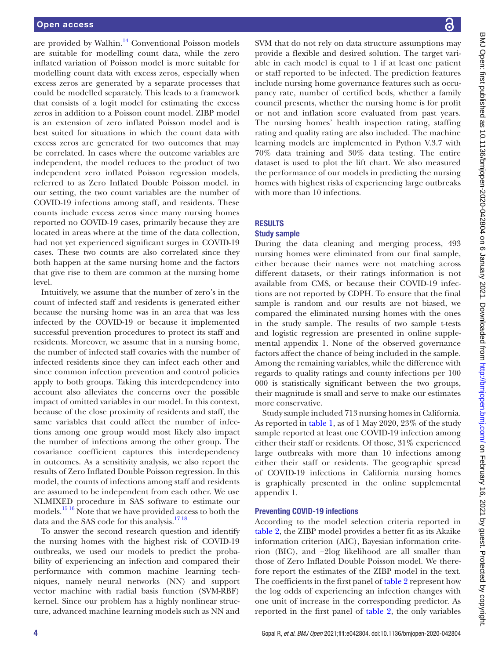are provided by Walhin. $14$  Conventional Poisson models are suitable for modelling count data, while the zero inflated variation of Poisson model is more suitable for modelling count data with excess zeros, especially when excess zeros are generated by a separate processes that could be modelled separately. This leads to a framework that consists of a logit model for estimating the excess zeros in addition to a Poisson count model. ZIBP model is an extension of zero inflated Poisson model and is best suited for situations in which the count data with excess zeros are generated for two outcomes that may be correlated. In cases where the outcome variables are independent, the model reduces to the product of two independent zero inflated Poisson regression models, referred to as Zero Inflated Double Poisson model. in our setting, the two count variables are the number of COVID-19 infections among staff, and residents. These counts include excess zeros since many nursing homes reported no COVID-19 cases, primarily because they are located in areas where at the time of the data collection, had not yet experienced significant surges in COVID-19 cases. These two counts are also correlated since they both happen at the same nursing home and the factors that give rise to them are common at the nursing home level.

Intuitively, we assume that the number of zero's in the count of infected staff and residents is generated either because the nursing home was in an area that was less infected by the COVID-19 or because it implemented successful prevention procedures to protect its staff and residents. Moreover, we assume that in a nursing home, the number of infected staff covaries with the number of infected residents since they can infect each other and since common infection prevention and control policies apply to both groups. Taking this interdependency into account also alleviates the concerns over the possible impact of omitted variables in our model. In this context, because of the close proximity of residents and staff, the same variables that could affect the number of infections among one group would most likely also impact the number of infections among the other group. The covariance coefficient captures this interdependency in outcomes. As a sensitivity analysis, we also report the results of Zero Inflated Double Poisson regression. In this model, the counts of infections among staff and residents are assumed to be independent from each other. We use NLMIXED procedure in SAS software to estimate our models[.15 16](#page-8-9) Note that we have provided access to both the data and the SAS code for this analysis.<sup>1718</sup>

To answer the second research question and identify the nursing homes with the highest risk of COVID-19 outbreaks, we used our models to predict the probability of experiencing an infection and compared their performance with common machine learning techniques, namely neural networks (NN) and support vector machine with radial basis function (SVM-RBF) kernel. Since our problem has a highly nonlinear structure, advanced machine learning models such as NN and

BMJ Open: first published as 10.1136/bmjopen-2020-042804 on 6 January 2021. Downloaded from http://bmjopen.bmj.com/ on February 16, 2021 by guest. Protected by copyright. BMJ Open: first published as 10.1136/bmjopen-2020-042804 on 6 January 2021. Downloaded from mom, com/ on February 16, 2021 by guest. Protected by copyright.

SVM that do not rely on data structure assumptions may provide a flexible and desired solution. The target variable in each model is equal to 1 if at least one patient or staff reported to be infected. The prediction features include nursing home governance features such as occupancy rate, number of certified beds, whether a family council presents, whether the nursing home is for profit or not and inflation score evaluated from past years. The nursing homes' health inspection rating, staffing rating and quality rating are also included. The machine learning models are implemented in Python V.3.7 with 70% data training and 30% data testing. The entire dataset is used to plot the lift chart. We also measured the performance of our models in predicting the nursing homes with highest risks of experiencing large outbreaks with more than 10 infections.

# **RESULTS**

# Study sample

During the data cleaning and merging process, 493 nursing homes were eliminated from our final sample, either because their names were not matching across different datasets, or their ratings information is not available from CMS, or because their COVID-19 infections are not reported by CDPH. To ensure that the final sample is random and our results are not biased, we compared the eliminated nursing homes with the ones in the study sample. The results of two sample t-tests and logistic regression are presented in [online supple](https://dx.doi.org/10.1136/bmjopen-2020-042804)[mental appendix 1.](https://dx.doi.org/10.1136/bmjopen-2020-042804) None of the observed governance factors affect the chance of being included in the sample. Among the remaining variables, while the difference with regards to quality ratings and county infections per 100 000 is statistically significant between the two groups, their magnitude is small and serve to make our estimates more conservative.

Study sample included 713 nursing homes in California. As reported in [table](#page-2-0) 1, as of 1 May 2020, 23% of the study sample reported at least one COVID-19 infection among either their staff or residents. Of those, 31% experienced large outbreaks with more than 10 infections among either their staff or residents. The geographic spread of COVID-19 infections in California nursing homes is graphically presented in the [online supplemental](https://dx.doi.org/10.1136/bmjopen-2020-042804)  [appendix 1.](https://dx.doi.org/10.1136/bmjopen-2020-042804)

# Preventing COVID-19 infections

According to the model selection criteria reported in [table](#page-4-0) 2, the ZIBP model provides a better fit as its Akaike information criterion (AIC), Bayesian information criterion (BIC), and −2log likelihood are all smaller than those of Zero Inflated Double Poisson model. We therefore report the estimates of the ZIBP model in the text. The coefficients in the first panel of [table](#page-4-0) 2 represent how the log odds of experiencing an infection changes with one unit of increase in the corresponding predictor. As reported in the first panel of [table](#page-4-0) 2, the only variables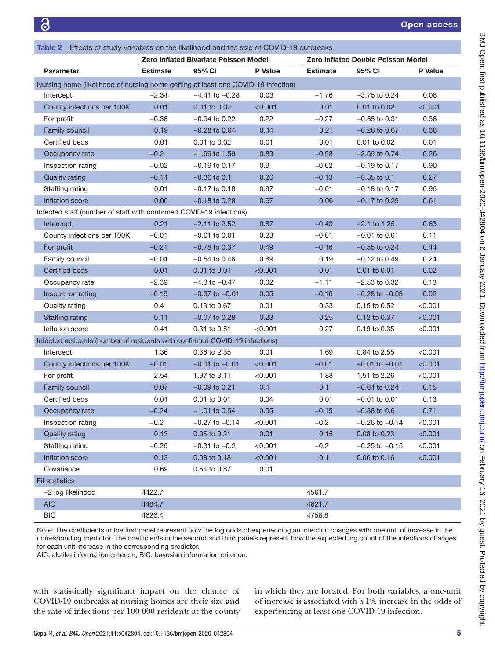<span id="page-4-0"></span>

| Table 2 Effects of study variables on the likelihood and the size of COVID-19 outbreaks |                 |                    |                |                                           |                    |         |  |  |  |
|-----------------------------------------------------------------------------------------|-----------------|--------------------|----------------|-------------------------------------------|--------------------|---------|--|--|--|
| <b>Zero Inflated Bivariate Poisson Model</b>                                            |                 |                    |                | <b>Zero Inflated Double Poisson Model</b> |                    |         |  |  |  |
| <b>Parameter</b>                                                                        | <b>Estimate</b> | 95% CI             | <b>P</b> Value | <b>Estimate</b>                           | 95% CI             | P Value |  |  |  |
| Nursing home (likelihood of nursing home getting at least one COVID-19 infection)       |                 |                    |                |                                           |                    |         |  |  |  |
| Intercept                                                                               | $-2.34$         | $-4.41$ to $-0.28$ | 0.03           | $-1.76$                                   | $-3.75$ to 0.24    | 0.08    |  |  |  |
| County infections per 100K                                                              | 0.01            | 0.01 to 0.02       | < 0.001        | 0.01                                      | $0.01$ to $0.02$   | < 0.001 |  |  |  |
| For profit                                                                              | $-0.36$         | $-0.94$ to 0.22    | 0.22           | $-0.27$                                   | $-0.85$ to 0.31    | 0.36    |  |  |  |
| Family council                                                                          | 0.19            | $-0.28$ to 0.64    | 0.44           | 0.21                                      | $-0.26$ to $0.67$  | 0.38    |  |  |  |
| Certified beds                                                                          | 0.01            | 0.01 to 0.02       | 0.01           | 0.01                                      | 0.01 to 0.02       | 0.01    |  |  |  |
| Occupancy rate                                                                          | $-0.2$          | $-1.99$ to 1.59    | 0.83           | $-0.98$                                   | $-2.69$ to 0.74    | 0.26    |  |  |  |
| Inspection rating                                                                       | $-0.02$         | $-0.19$ to 0.17    | 0.9            | $-0.02$                                   | $-0.19$ to 0.17    | 0.90    |  |  |  |
| <b>Quality rating</b>                                                                   | $-0.14$         | $-0.36$ to 0.1     | 0.26           | $-0.13$                                   | $-0.35$ to 0.1     | 0.27    |  |  |  |
| Staffing rating                                                                         | 0.01            | $-0.17$ to 0.18    | 0.97           | $-0.01$                                   | $-0.18$ to 0.17    | 0.96    |  |  |  |
| Inflation score                                                                         | 0.06            | $-0.18$ to $0.28$  | 0.67           | 0.06                                      | $-0.17$ to 0.29    | 0.61    |  |  |  |
| Infected staff (number of staff with confirmed COVID-19 infections)                     |                 |                    |                |                                           |                    |         |  |  |  |
| Intercept                                                                               | 0.21            | $-2.11$ to 2.52    | 0.87           | $-0.43$                                   | $-2.1$ to 1.25     | 0.63    |  |  |  |
| County infections per 100K                                                              | $-0.01$         | $-0.01$ to 0.01    | 0.23           | $-0.01$                                   | $-0.01$ to 0.01    | 0.11    |  |  |  |
| For profit                                                                              | $-0.21$         | $-0.78$ to $0.37$  | 0.49           | $-0.16$                                   | $-0.55$ to 0.24    | 0.44    |  |  |  |
| Family council                                                                          | $-0.04$         | $-0.54$ to 0.46    | 0.89           | 0.19                                      | $-0.12$ to 0.49    | 0.24    |  |  |  |
| <b>Certified beds</b>                                                                   | 0.01            | 0.01 to 0.01       | < 0.001        | 0.01                                      | 0.01 to 0.01       | 0.02    |  |  |  |
| Occupancy rate                                                                          | $-2.39$         | $-4.3$ to $-0.47$  | 0.02           | $-1.11$                                   | $-2.53$ to 0.32    | 0.13    |  |  |  |
| Inspection rating                                                                       | $-0.19$         | $-0.37$ to $-0.01$ | 0.05           | $-0.16$                                   | $-0.28$ to $-0.03$ | 0.02    |  |  |  |
| Quality rating                                                                          | 0.4             | 0.13 to 0.67       | 0.01           | 0.33                                      | 0.15 to 0.52       | < 0.001 |  |  |  |
| Staffing rating                                                                         | 0.11            | $-0.07$ to 0.28    | 0.23           | 0.25                                      | 0.12 to 0.37       | < 0.001 |  |  |  |
| Inflation score                                                                         | 0.41            | 0.31 to 0.51       | < 0.001        | 0.27                                      | 0.19 to 0.35       | < 0.001 |  |  |  |
| Infected residents (number of residents with confirmed COVID-19 infections)             |                 |                    |                |                                           |                    |         |  |  |  |
| Intercept                                                                               | 1.36            | 0.36 to 2.35       | 0.01           | 1.69                                      | 0.84 to 2.55       | < 0.001 |  |  |  |
| County infections per 100K                                                              | $-0.01$         | $-0.01$ to $-0.01$ | < 0.001        | $-0.01$                                   | $-0.01$ to $-0.01$ | < 0.001 |  |  |  |
| For profit                                                                              | 2.54            | 1.97 to 3.11       | $<$ 0.001      | 1.88                                      | 1.51 to 2.26       | < 0.001 |  |  |  |
| Family council                                                                          | 0.07            | $-0.09$ to 0.21    | 0.4            | 0.1                                       | $-0.04$ to 0.24    | 0.15    |  |  |  |
| Certified beds                                                                          | 0.01            | 0.01 to 0.01       | 0.04           | 0.01                                      | $-0.01$ to 0.01    | 0.13    |  |  |  |
| Occupancy rate                                                                          | $-0.24$         | $-1.01$ to 0.54    | 0.55           | $-0.15$                                   | $-0.88$ to 0.6     | 0.71    |  |  |  |
| Inspection rating                                                                       | $-0.2$          | $-0.27$ to $-0.14$ | < 0.001        | $-0.2$                                    | $-0.26$ to $-0.14$ | < 0.001 |  |  |  |
| <b>Quality rating</b>                                                                   | 0.13            | 0.05 to 0.21       | 0.01           | 0.15                                      | 0.08 to 0.23       | < 0.001 |  |  |  |
| Staffing rating                                                                         | $-0.26$         | $-0.31$ to $-0.2$  | < 0.001        | $-0.2$                                    | $-0.25$ to $-0.15$ | < 0.001 |  |  |  |
| Inflation score                                                                         | 0.13            | 0.08 to 0.18       | < 0.001        | 0.11                                      | 0.06 to 0.16       | < 0.001 |  |  |  |
| Covariance                                                                              | 0.69            | 0.54 to 0.87       | 0.01           |                                           |                    |         |  |  |  |
| <b>Fit statistics</b>                                                                   |                 |                    |                |                                           |                    |         |  |  |  |
| -2 log likelihood                                                                       | 4422.7          |                    |                | 4561.7                                    |                    |         |  |  |  |
| <b>AIC</b>                                                                              | 4484.7          |                    |                | 4621.7                                    |                    |         |  |  |  |
| <b>BIC</b>                                                                              | 4626.4          |                    |                | 4758.8                                    |                    |         |  |  |  |

Note: The coefficients in the first panel represent how the log odds of experiencing an infection changes with one unit of increase in the corresponding predictor. The coefficients in the second and third panels represent how the expected log count of the infections changes for each unit increase in the corresponding predictor.

AIC, akaike information criterion; BIC, bayesian information criterion.

with statistically significant impact on the chance of COVID-19 outbreaks at nursing homes are their size and the rate of infections per 100 000 residents at the county in which they are located. For both variables, a one-unit of increase is associated with a 1% increase in the odds of experiencing at least one COVID-19 infection.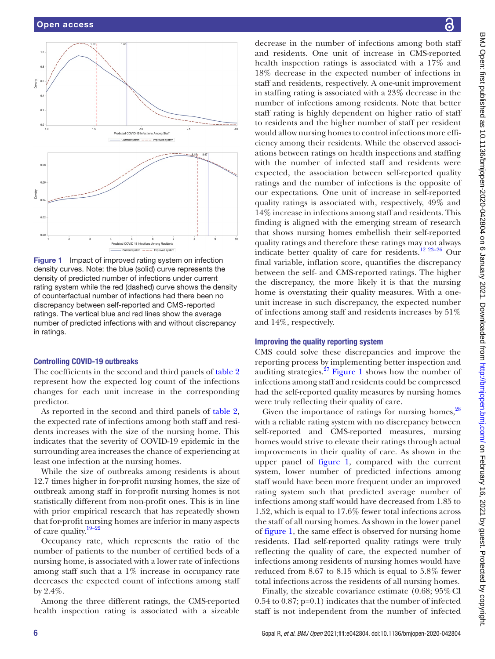

<span id="page-5-0"></span>Figure 1 Impact of improved rating system on infection density curves. Note: the blue (solid) curve represents the density of predicted number of infections under current rating system while the red (dashed) curve shows the density of counterfactual number of infections had there been no discrepancy between self-reported and CMS-reported ratings. The vertical blue and red lines show the average number of predicted infections with and without discrepancy in ratings.

### Controlling COVID-19 outbreaks

The coefficients in the second and third panels of [table](#page-4-0) 2 represent how the expected log count of the infections changes for each unit increase in the corresponding predictor.

As reported in the second and third panels of [table](#page-4-0) 2, the expected rate of infections among both staff and residents increases with the size of the nursing home. This indicates that the severity of COVID-19 epidemic in the surrounding area increases the chance of experiencing at least one infection at the nursing homes.

While the size of outbreaks among residents is about 12.7 times higher in for-profit nursing homes, the size of outbreak among staff in for-profit nursing homes is not statistically different from non-profit ones. This is in line with prior empirical research that has repeatedly shown that for-profit nursing homes are inferior in many aspects of care quality.<sup>19-22</sup>

Occupancy rate, which represents the ratio of the number of patients to the number of certified beds of a nursing home, is associated with a lower rate of infections among staff such that a 1% increase in occupancy rate decreases the expected count of infections among staff by 2.4%.

Among the three different ratings, the CMS-reported health inspection rating is associated with a sizeable

decrease in the number of infections among both staff and residents. One unit of increase in CMS-reported health inspection ratings is associated with a 17% and 18% decrease in the expected number of infections in staff and residents, respectively. A one-unit improvement in staffing rating is associated with a 23% decrease in the number of infections among residents. Note that better staff rating is highly dependent on higher ratio of staff to residents and the higher number of staff per resident would allow nursing homes to control infections more efficiency among their residents. While the observed associations between ratings on health inspections and staffing with the number of infected staff and residents were expected, the association between self-reported quality ratings and the number of infections is the opposite of our expectations. One unit of increase in self-reported quality ratings is associated with, respectively, 49% and 14% increase in infections among staff and residents. This finding is aligned with the emerging stream of research that shows nursing homes embellish their self-reported quality ratings and therefore these ratings may not always indicate better quality of care for residents[.12 23–26](#page-8-6) Our final variable, inflation score, quantifies the discrepancy between the self- and CMS-reported ratings. The higher the discrepancy, the more likely it is that the nursing home is overstating their quality measures. With a oneunit increase in such discrepancy, the expected number of infections among staff and residents increases by 51% and 14%, respectively.

# Improving the quality reporting system

CMS could solve these discrepancies and improve the reporting process by implementing better inspection and auditing strategies. $27$  [Figure](#page-5-0) 1 shows how the number of infections among staff and residents could be compressed had the self-reported quality measures by nursing homes were truly reflecting their quality of care.

Given the importance of ratings for nursing homes,<sup>[28](#page-8-13)</sup> with a reliable rating system with no discrepancy between self-reported and CMS-reported measures, nursing homes would strive to elevate their ratings through actual improvements in their quality of care. As shown in the upper panel of [figure](#page-5-0) 1, compared with the current system, lower number of predicted infections among staff would have been more frequent under an improved rating system such that predicted average number of infections among staff would have decreased from 1.85 to 1.52, which is equal to 17.6% fewer total infections across the staff of all nursing homes. As shown in the lower panel of [figure](#page-5-0) 1, the same effect is observed for nursing home residents. Had self-reported quality ratings were truly reflecting the quality of care, the expected number of infections among residents of nursing homes would have reduced from 8.67 to 8.15 which is equal to 5.8% fewer total infections across the residents of all nursing homes.

Finally, the sizeable covariance estimate  $(0.68; 95\% \text{ CI})$ 0.54 to 0.87; p=0.1) indicates that the number of infected staff is not independent from the number of infected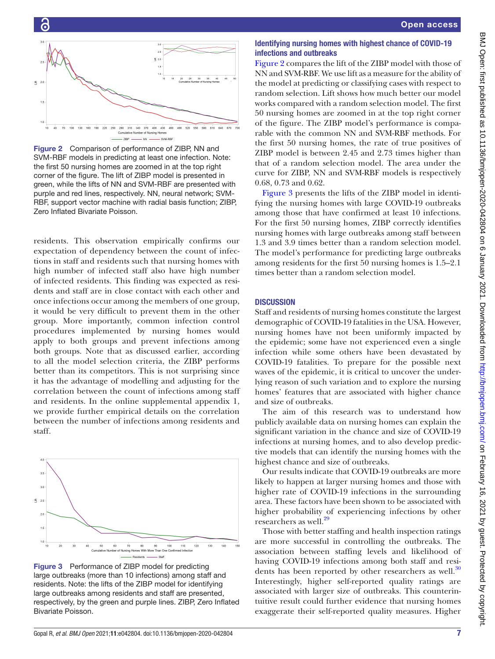

<span id="page-6-0"></span>Figure 2 Comparison of performance of ZIBP, NN and SVM-RBF models in predicting at least one infection. Note: the first 50 nursing homes are zoomed in at the top right corner of the figure. The lift of ZIBP model is presented in green, while the lifts of NN and SVM-RBF are presented with purple and red lines, respectively. NN, neural network; SVM-RBF, support vector machine with radial basis function; ZIBP, Zero Inflated Bivariate Poisson.

residents. This observation empirically confirms our expectation of dependency between the count of infections in staff and residents such that nursing homes with high number of infected staff also have high number of infected residents. This finding was expected as residents and staff are in close contact with each other and once infections occur among the members of one group, it would be very difficult to prevent them in the other group. More importantly, common infection control procedures implemented by nursing homes would apply to both groups and prevent infections among both groups. Note that as discussed earlier, according to all the model selection criteria, the ZIBP performs better than its competitors. This is not surprising since it has the advantage of modelling and adjusting for the correlation between the count of infections among staff and residents. In the [online supplemental appendix 1,](https://dx.doi.org/10.1136/bmjopen-2020-042804) we provide further empirical details on the correlation between the number of infections among residents and staff.



<span id="page-6-1"></span>Figure 3 Performance of ZIBP model for predicting large outbreaks (more than 10 infections) among staff and residents. Note: the lifts of the ZIBP model for identifying large outbreaks among residents and staff are presented, respectively, by the green and purple lines. ZIBP, Zero Inflated Bivariate Poisson.

# Identifying nursing homes with highest chance of COVID-19 infections and outbreaks

[Figure](#page-6-0) 2 compares the lift of the ZIBP model with those of NN and SVM-RBF. We use lift as a measure for the ability of the model at predicting or classifying cases with respect to random selection. Lift shows how much better our model works compared with a random selection model. The first 50 nursing homes are zoomed in at the top right corner of the figure. The ZIBP model's performance is comparable with the common NN and SVM-RBF methods. For the first 50 nursing homes, the rate of true positives of ZIBP model is between 2.45 and 2.73 times higher than that of a random selection model. The area under the curve for ZIBP, NN and SVM-RBF models is respectively 0.68, 0.73 and 0.62.

[Figure](#page-6-1) 3 presents the lifts of the ZIBP model in identifying the nursing homes with large COVID-19 outbreaks among those that have confirmed at least 10 infections. For the first 50 nursing homes, ZIBP correctly identifies nursing homes with large outbreaks among staff between 1.3 and 3.9 times better than a random selection model. The model's performance for predicting large outbreaks among residents for the first 50 nursing homes is 1.5–2.1 times better than a random selection model.

# **DISCUSSION**

Staff and residents of nursing homes constitute the largest demographic of COVID-19 fatalities in the USA. However, nursing homes have not been uniformly impacted by the epidemic; some have not experienced even a single infection while some others have been devastated by COVID-19 fatalities. To prepare for the possible next waves of the epidemic, it is critical to uncover the underlying reason of such variation and to explore the nursing homes' features that are associated with higher chance and size of outbreaks.

The aim of this research was to understand how publicly available data on nursing homes can explain the significant variation in the chance and size of COVID-19 infections at nursing homes, and to also develop predictive models that can identify the nursing homes with the highest chance and size of outbreaks.

Our results indicate that COVID-19 outbreaks are more likely to happen at larger nursing homes and those with higher rate of COVID-19 infections in the surrounding area. These factors have been shown to be associated with higher probability of experiencing infections by other researchers as well.<sup>[29](#page-8-14)</sup>

Those with better staffing and health inspection ratings are more successful in controlling the outbreaks. The association between staffing levels and likelihood of having COVID-19 infections among both staff and residents has been reported by other researchers as well. $30$ Interestingly, higher self-reported quality ratings are associated with larger size of outbreaks. This counterintuitive result could further evidence that nursing homes exaggerate their self-reported quality measures. Higher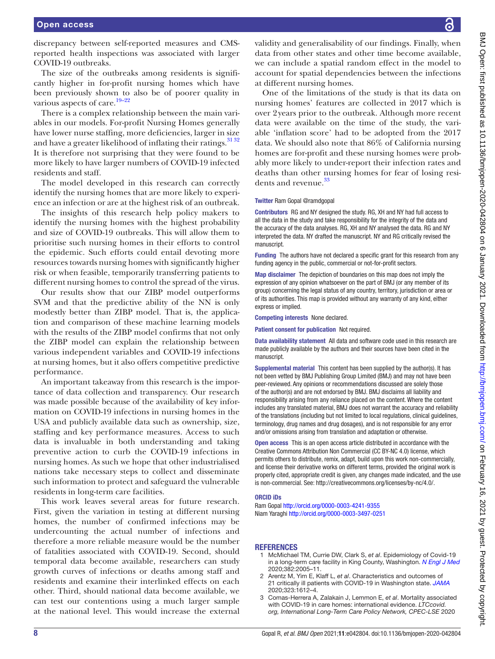discrepancy between self-reported measures and CMSreported health inspections was associated with larger COVID-19 outbreaks.

The size of the outbreaks among residents is significantly higher in for-profit nursing homes which have been previously shown to also be of poorer quality in various aspects of care.<sup>19-22</sup>

There is a complex relationship between the main variables in our models. For-profit Nursing Homes generally have lower nurse staffing, more deficiencies, larger in size and have a greater likelihood of inflating their ratings.<sup>3132</sup> It is therefore not surprising that they were found to be more likely to have larger numbers of COVID-19 infected residents and staff.

The model developed in this research can correctly identify the nursing homes that are more likely to experience an infection or are at the highest risk of an outbreak.

The insights of this research help policy makers to identify the nursing homes with the highest probability and size of COVID-19 outbreaks. This will allow them to prioritise such nursing homes in their efforts to control the epidemic. Such efforts could entail devoting more resources towards nursing homes with significantly higher risk or when feasible, temporarily transferring patients to different nursing homes to control the spread of the virus.

Our results show that our ZIBP model outperforms SVM and that the predictive ability of the NN is only modestly better than ZIBP model. That is, the application and comparison of these machine learning models with the results of the ZIBP model confirms that not only the ZIBP model can explain the relationship between various independent variables and COVID-19 infections at nursing homes, but it also offers competitive predictive performance.

An important takeaway from this research is the importance of data collection and transparency. Our research was made possible because of the availability of key information on COVID-19 infections in nursing homes in the USA and publicly available data such as ownership, size, staffing and key performance measures. Access to such data is invaluable in both understanding and taking preventive action to curb the COVID-19 infections in nursing homes. As such we hope that other industrialised nations take necessary steps to collect and disseminate such information to protect and safeguard the vulnerable residents in long-term care facilities.

This work leaves several areas for future research. First, given the variation in testing at different nursing homes, the number of confirmed infections may be undercounting the actual number of infections and therefore a more reliable measure would be the number of fatalities associated with COVID-19. Second, should temporal data become available, researchers can study growth curves of infections or deaths among staff and residents and examine their interlinked effects on each other. Third, should national data become available, we can test our contentions using a much larger sample at the national level. This would increase the external

validity and generalisability of our findings. Finally, when data from other states and other time become available, we can include a spatial random effect in the model to account for spatial dependencies between the infections at different nursing homes.

One of the limitations of the study is that its data on nursing homes' features are collected in 2017 which is over 2years prior to the outbreak. Although more recent data were available on the time of the study, the variable 'inflation score' had to be adopted from the 2017 data. We should also note that 86% of California nursing homes are for-profit and these nursing homes were probably more likely to under-report their infection rates and deaths than other nursing homes for fear of losing resi-dents and revenue.<sup>[33](#page-8-17)</sup>

#### Twitter Ram Gopal [@ramdgopal](https://twitter.com/ramdgopal)

Contributors RG and NY designed the study. RG, XH and NY had full access to all the data in the study and take responsibility for the integrity of the data and the accuracy of the data analyses. RG, XH and NY analysed the data. RG and NY interpreted the data. NY drafted the manuscript. NY and RG critically revised the manuscript.

Funding The authors have not declared a specific grant for this research from any funding agency in the public, commercial or not-for-profit sectors.

Map disclaimer The depiction of boundaries on this map does not imply the expression of any opinion whatsoever on the part of BMJ (or any member of its group) concerning the legal status of any country, territory, jurisdiction or area or of its authorities. This map is provided without any warranty of any kind, either express or implied.

Competing interests None declared.

Patient consent for publication Not required.

Data availability statement All data and software code used in this research are made publicly available by the authors and their sources have been cited in the manuscript.

Supplemental material This content has been supplied by the author(s). It has not been vetted by BMJ Publishing Group Limited (BMJ) and may not have been peer-reviewed. Any opinions or recommendations discussed are solely those of the author(s) and are not endorsed by BMJ. BMJ disclaims all liability and responsibility arising from any reliance placed on the content. Where the content includes any translated material, BMJ does not warrant the accuracy and reliability of the translations (including but not limited to local regulations, clinical guidelines, terminology, drug names and drug dosages), and is not responsible for any error and/or omissions arising from translation and adaptation or otherwise.

Open access This is an open access article distributed in accordance with the Creative Commons Attribution Non Commercial (CC BY-NC 4.0) license, which permits others to distribute, remix, adapt, build upon this work non-commercially, and license their derivative works on different terms, provided the original work is properly cited, appropriate credit is given, any changes made indicated, and the use is non-commercial. See: [http://creativecommons.org/licenses/by-nc/4.0/.](http://creativecommons.org/licenses/by-nc/4.0/)

#### ORCID iDs

Ram Gopal <http://orcid.org/0000-0003-4241-9355> Niam Yaraghi <http://orcid.org/0000-0003-3497-0251>

#### **REFERENCES**

- <span id="page-7-0"></span>1 McMichael TM, Currie DW, Clark S, *et al*. Epidemiology of Covid-19 in a long-term care facility in King County, Washington. *[N Engl J Med](http://dx.doi.org/10.1056/NEJMoa2005412)* 2020;382:2005–11.
- 2 Arentz M, Yim E, Klaff L, *et al*. Characteristics and outcomes of 21 critically ill patients with COVID-19 in Washington state. *[JAMA](http://dx.doi.org/10.1001/jama.2020.4326)* 2020;323:1612–4.
- <span id="page-7-1"></span>3 Comas-Herrera A, Zalakain J, Lemmon E, *et al*. Mortality associated with COVID-19 in care homes: international evidence. *LTCcovid. org, International Long-Term Care Policy Network, CPEC-LSE* 2020